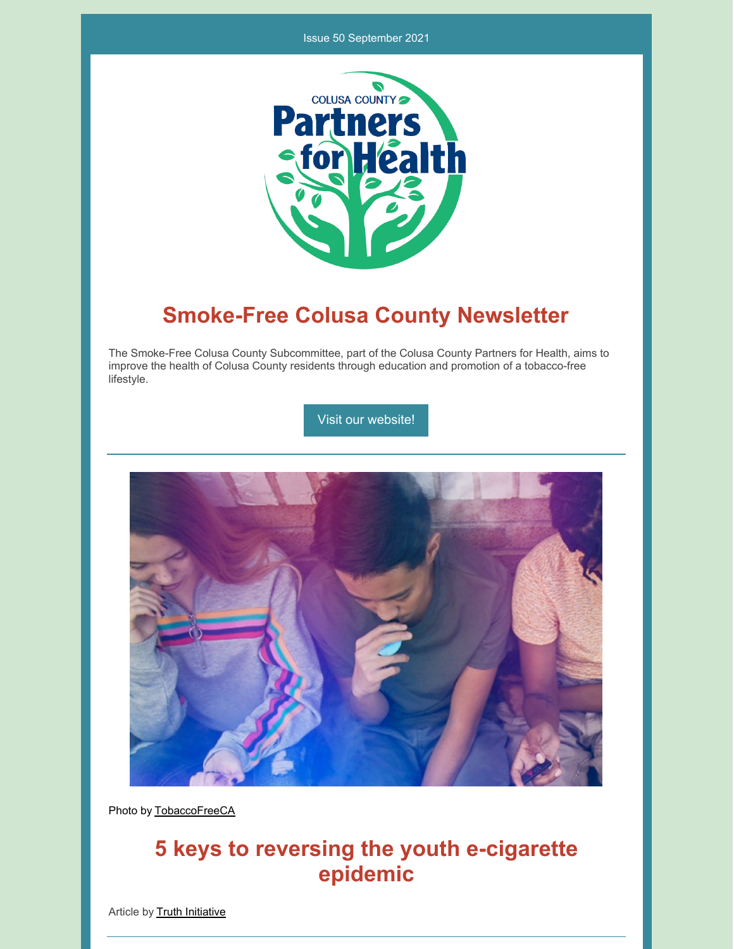#### Issue 50 September 2021



# **Smoke-Free Colusa County Newsletter**

The Smoke-Free Colusa County Subcommittee, part of the Colusa County Partners for Health, aims to improve the health of Colusa County residents through education and promotion of a tobacco-free lifestyle.

Visit our [website!](https://www.countyofcolusa.org/index.aspx?NID=580)



Photo by [TobaccoFreeCA](https://tobaccofreeca.com/e-cigarettes/ecigarettes-tobacco-industry-gateway-to-addiction/)

## **5 keys to reversing the youth e-cigarette epidemic**

Article by **Truth [Initiative](https://truthinitiative.org/research-resources/quitting-smoking-vaping/5-keys-reversing-youth-e-cigarette-epidemic)**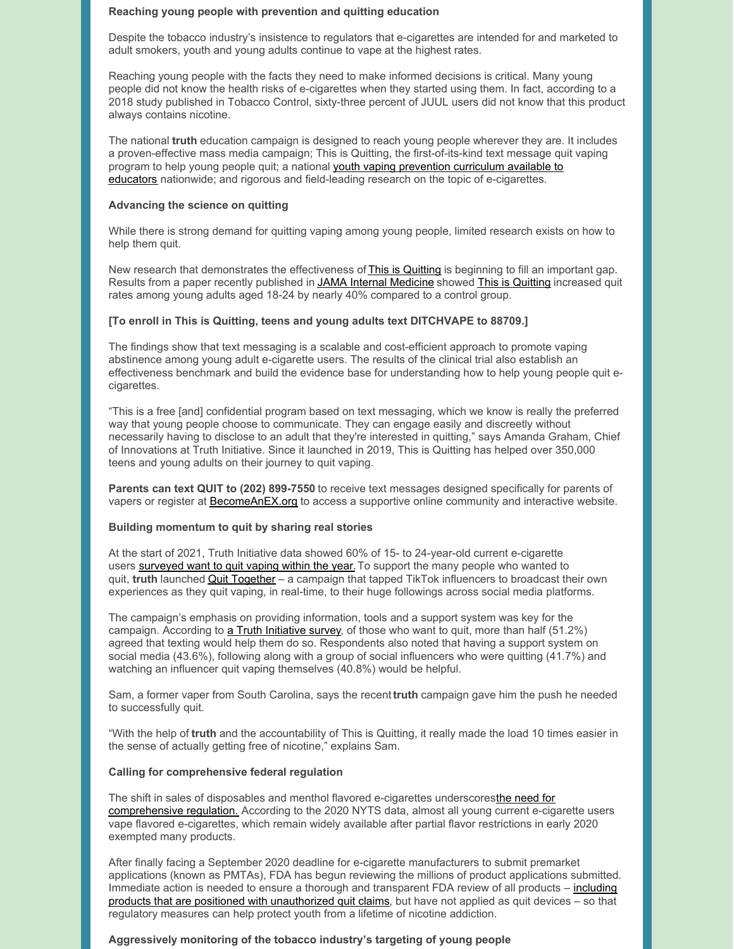#### **Reaching young people with prevention and quitting education**

Despite the tobacco industry's insistence to regulators that e-cigarettes are intended for and marketed to adult smokers, youth and young adults continue to vape at the highest rates.

Reaching young people with the facts they need to make informed decisions is critical. Many young people did not know the health risks of e-cigarettes when they started using them. In fact, according to a 2018 study published in Tobacco Control, sixty-three percent of JUUL users did not know that this product always contains nicotine.

The national **truth** education campaign is designed to reach young people wherever they are. It includes a proven-effective mass media campaign; This is Quitting, the first-of-its-kind text message quit vaping program to help young people quit; a national youth vaping prevention curriculum available to educators nationwide; and rigorous and field-leading research on the topic of [e-cigarettes.](https://youtu.be/usrQL5p8jyc)

#### **Advancing the science on quitting**

While there is strong demand for quitting vaping among young people, limited research exists on how to help them quit.

New research that demonstrates the effectiveness of This is [Quitting](https://truthinitiative.org/thisisquitting) is beginning to fill an important gap. Results from a paper recently published in JAMA Internal [Medicine](https://jamanetwork.com/journals/jamainternalmedicine/fullarticle/10.1001/jamainternmed.2021.1793?guestAccessKey=47c4d83e-5f45-4024-857a-2e296e550101&utm_source=For_The_Media&utm_medium=referral&utm_campaign=ftm_links&utm_content=tfl&utm_term=051721) showed This is [Quitting](https://youtu.be/poEc99a0Wb0) increased quit rates among young adults aged 18-24 by nearly 40% compared to a control group.

#### **[To enroll in This is Quitting, teens and young adults text DITCHVAPE to 88709.]**

The findings show that text messaging is a scalable and cost-efficient approach to promote vaping abstinence among young adult e-cigarette users. The results of the clinical trial also establish an effectiveness benchmark and build the evidence base for understanding how to help young people quit ecigarettes.

"This is a free [and] confidential program based on text messaging, which we know is really the preferred way that young people choose to communicate. They can engage easily and discreetly without necessarily having to disclose to an adult that they're interested in quitting," says Amanda Graham, Chief of Innovations at Truth Initiative. Since it launched in 2019, This is Quitting has helped over 350,000 teens and young adults on their journey to quit vaping.

**Parents can text QUIT to (202) 899-7550** to receive text messages designed specifically for parents of vapers or register at **[BecomeAnEX.org](https://www.becomeanex.org/)** to access a supportive online community and interactive website.

#### **Building momentum to quit by sharing real stories**

At the start of 2021, Truth Initiative data showed 60% of 15- to 24-year-old current e-cigarette users [surveyed](https://truthinitiative.org/research-resources/quitting-smoking-vaping/most-young-e-cigarette-users-say-they-want-quit-vaping) want to quit vaping within the year. To support the many people who wanted to quit, **truth** launched Quit [Together](https://www.youtube.com/watch?v=FQLv8SgBUT0) – a campaign that tapped TikTok influencers to broadcast their own experiences as they quit vaping, in real-time, to their huge followings across social media platforms.

The campaign's emphasis on providing information, tools and a support system was key for the campaign. According to a Truth [Initiative](https://truthinitiative.org/research-resources/quitting-smoking-vaping/most-young-e-cigarette-users-say-they-want-quit-vaping) survey, of those who want to quit, more than half (51.2%) agreed that texting would help them do so. Respondents also noted that having a support system on social media (43.6%), following along with a group of social influencers who were quitting (41.7%) and watching an influencer quit vaping themselves (40.8%) would be helpful.

Sam, a former vaper from South Carolina, says the recent**truth** campaign gave him the push he needed to successfully quit.

"With the help of **truth** and the accountability of This is Quitting, it really made the load 10 times easier in the sense of actually getting free of nicotine," explains Sam.

#### **Calling for comprehensive federal regulation**

The shift in sales of disposables and menthol flavored e-cigarettes [underscoresthe](https://truthinitiative.org/research-resources/emerging-tobacco-products/action-needed-e-cigarettes) need for comprehensive regulation. According to the 2020 NYTS data, almost all young current e-cigarette users vape flavored e-cigarettes, which remain widely available after partial flavor restrictions in early 2020 exempted many products.

After finally facing a September 2020 deadline for e-cigarette manufacturers to submit premarket applications (known as PMTAs), FDA has begun reviewing the millions of product applications submitted. Immediate action is needed to ensure a thorough and transparent FDA review of all products – including products that are positioned with [unauthorized](https://truthinitiative.org/research-resources/tobacco-industry-marketing/spinning-new-tobacco-industry-how-big-tobacco-trying) quit claims, but have not applied as quit devices – so that regulatory measures can help protect youth from a lifetime of nicotine addiction.

#### **Aggressively monitoring of the tobacco industry's targeting of young people**